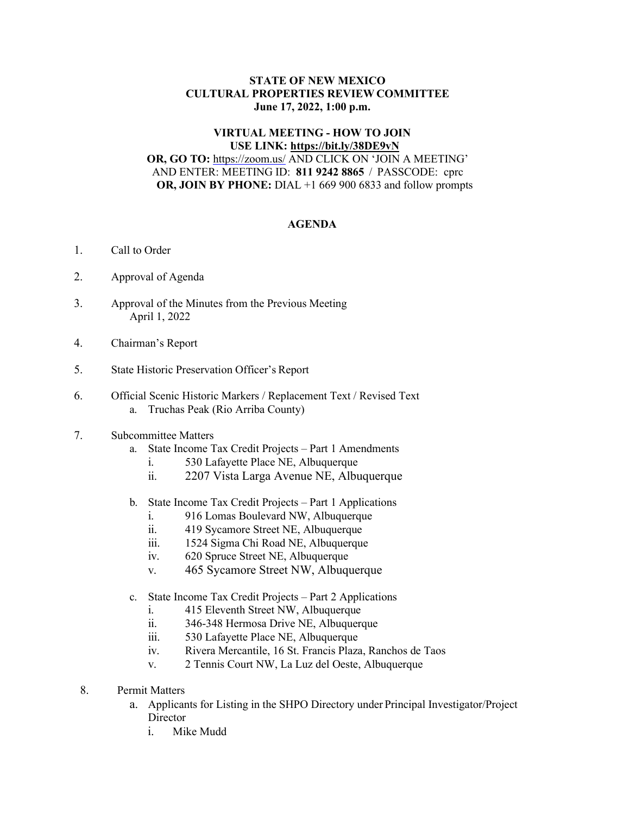## **STATE OF NEW MEXICO CULTURAL PROPERTIES REVIEW COMMITTEE June 17, 2022, 1:00 p.m.**

## **VIRTUAL MEETING - HOW TO JOIN USE LINK:<https://bit.ly/38DE9vN>**

**OR, GO TO:** <https://zoom.us/> AND CLICK ON 'JOIN A MEETING' AND ENTER: MEETING ID: **811 9242 8865** / PASSCODE: cprc **OR, JOIN BY PHONE:** DIAL +1 669 900 6833 and follow prompts

## **AGENDA**

- 1. Call to Order
- 2. Approval of Agenda
- 3. Approval of the Minutes from the Previous Meeting April 1, 2022
- 4. Chairman's Report
- 5. State Historic Preservation Officer's Report
- 6. Official Scenic Historic Markers / Replacement Text / Revised Text a. Truchas Peak (Rio Arriba County)
- 7. Subcommittee Matters
	- a. State Income Tax Credit Projects Part 1 Amendments
		- i. 530 Lafayette Place NE, Albuquerque
		- ii. 2207 Vista Larga Avenue NE, Albuquerque
	- b. State Income Tax Credit Projects Part 1 Applications
		- i. 916 Lomas Boulevard NW, Albuquerque
		- ii. 419 Sycamore Street NE, Albuquerque
		- iii. 1524 Sigma Chi Road NE, Albuquerque
		- iv. 620 Spruce Street NE, Albuquerque
		- v. 465 Sycamore Street NW, Albuquerque
	- c. State Income Tax Credit Projects Part 2 Applications
		- i. 415 Eleventh Street NW, Albuquerque
		- ii. 346-348 Hermosa Drive NE, Albuquerque
		- iii. 530 Lafayette Place NE, Albuquerque
		- iv. Rivera Mercantile, 16 St. Francis Plaza, Ranchos de Taos
		- v. 2 Tennis Court NW, La Luz del Oeste, Albuquerque
- 8. Permit Matters
	- a. Applicants for Listing in the SHPO Directory under Principal Investigator/Project **Director** 
		- i. Mike Mudd